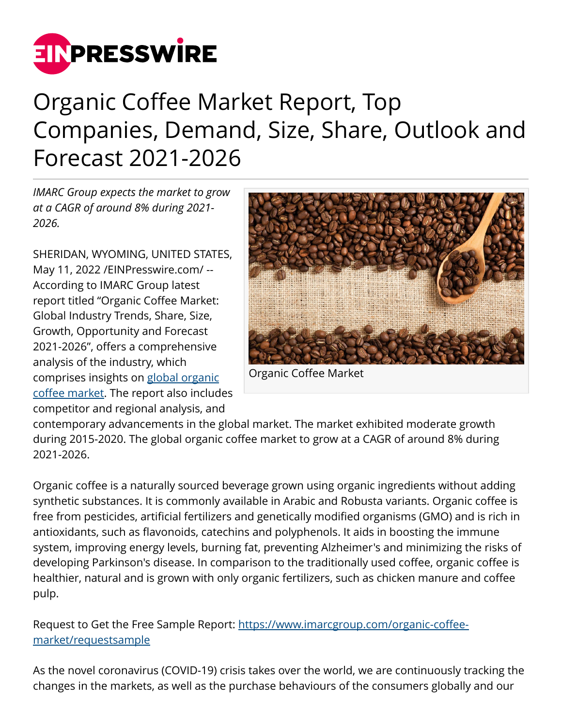

## Organic Coffee Market Report, Top Companies, Demand, Size, Share, Outlook and Forecast 2021-2026

*IMARC Group expects the market to grow at a CAGR of around 8% during 2021- 2026.* 

SHERIDAN, WYOMING, UNITED STATES, May 11, 2022 [/EINPresswire.com](http://www.einpresswire.com)/ -- According to IMARC Group latest report titled "Organic Coffee Market: Global Industry Trends, Share, Size, Growth, Opportunity and Forecast 2021-2026", offers a comprehensive analysis of the industry, which comprises insights on [global organic](https://www.imarcgroup.com/organic-coffee-market) [coffee market](https://www.imarcgroup.com/organic-coffee-market). The report also includes competitor and regional analysis, and



Organic Coffee Market

contemporary advancements in the global market. The market exhibited moderate growth during 2015-2020. The global organic coffee market to grow at a CAGR of around 8% during 2021-2026.

Organic coffee is a naturally sourced beverage grown using organic ingredients without adding synthetic substances. It is commonly available in Arabic and Robusta variants. Organic coffee is free from pesticides, artificial fertilizers and genetically modified organisms (GMO) and is rich in antioxidants, such as flavonoids, catechins and polyphenols. It aids in boosting the immune system, improving energy levels, burning fat, preventing Alzheimer's and minimizing the risks of developing Parkinson's disease. In comparison to the traditionally used coffee, organic coffee is healthier, natural and is grown with only organic fertilizers, such as chicken manure and coffee pulp.

Request to Get the Free Sample Report: [https://www.imarcgroup.com/organic-coffee](https://www.imarcgroup.com/organic-coffee-market/requestsample)[market/requestsample](https://www.imarcgroup.com/organic-coffee-market/requestsample)

As the novel coronavirus (COVID-19) crisis takes over the world, we are continuously tracking the changes in the markets, as well as the purchase behaviours of the consumers globally and our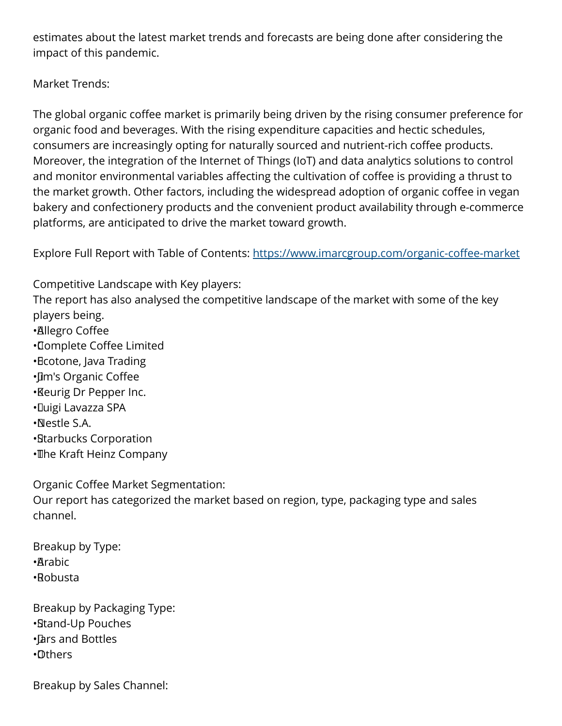estimates about the latest market trends and forecasts are being done after considering the impact of this pandemic.

Market Trends:

The global organic coffee market is primarily being driven by the rising consumer preference for organic food and beverages. With the rising expenditure capacities and hectic schedules, consumers are increasingly opting for naturally sourced and nutrient-rich coffee products. Moreover, the integration of the Internet of Things (IoT) and data analytics solutions to control and monitor environmental variables affecting the cultivation of coffee is providing a thrust to the market growth. Other factors, including the widespread adoption of organic coffee in vegan bakery and confectionery products and the convenient product availability through e-commerce platforms, are anticipated to drive the market toward growth.

Explore Full Report with Table of Contents: <https://www.imarcgroup.com/organic-coffee-market>

Competitive Landscape with Key players: The report has also analysed the competitive landscape of the market with some of the key players being. • Allegro Coffee • Complete Coffee Limited • Ecotone, Java Trading • Jim's Organic Coffee • Keurig Dr Pepper Inc. • Luigi Lavazza SPA • Nestle S.A. • Starbucks Corporation • The Kraft Heinz Company

Organic Coffee Market Segmentation: Our report has categorized the market based on region, type, packaging type and sales channel.

Breakup by Type: • Arabic • Robusta

Breakup by Packaging Type: • Stand-Up Pouches • Jars and Bottles • Others

Breakup by Sales Channel: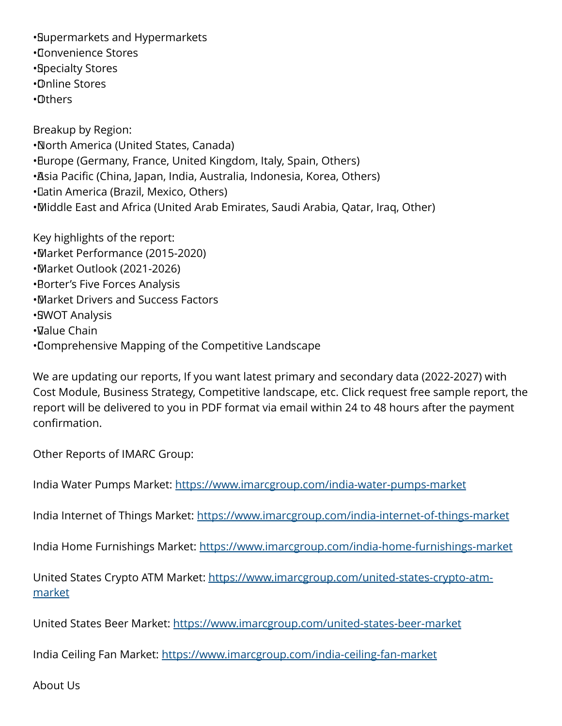• Supermarkets and Hypermarkets

- • Convenience Stores
- • Specialty Stores
- • Online Stores
- • Others

Breakup by Region: • North America (United States, Canada) • Europe (Germany, France, United Kingdom, Italy, Spain, Others) • Asia Pacific (China, Japan, India, Australia, Indonesia, Korea, Others) • Latin America (Brazil, Mexico, Others) • Middle East and Africa (United Arab Emirates, Saudi Arabia, Qatar, Iraq, Other)

Key highlights of the report: • Market Performance (2015-2020) • Market Outlook (2021-2026) **• Borter's Five Forces Analysis** • Market Drivers and Success Factors • SWOT Analysis  $\cdot$ Value Chain • Comprehensive Mapping of the Competitive Landscape

We are updating our reports, If you want latest primary and secondary data (2022-2027) with Cost Module, Business Strategy, Competitive landscape, etc. Click request free sample report, the report will be delivered to you in PDF format via email within 24 to 48 hours after the payment confirmation.

Other Reports of IMARC Group:

India Water Pumps Market: <https://www.imarcgroup.com/india-water-pumps-market>

India Internet of Things Market: <https://www.imarcgroup.com/india-internet-of-things-market>

India Home Furnishings Market:<https://www.imarcgroup.com/india-home-furnishings-market>

United States Crypto ATM Market: [https://www.imarcgroup.com/united-states-crypto-atm](https://www.imarcgroup.com/united-states-crypto-atm-market)[market](https://www.imarcgroup.com/united-states-crypto-atm-market)

United States Beer Market: <https://www.imarcgroup.com/united-states-beer-market>

India Ceiling Fan Market:<https://www.imarcgroup.com/india-ceiling-fan-market>

About Us